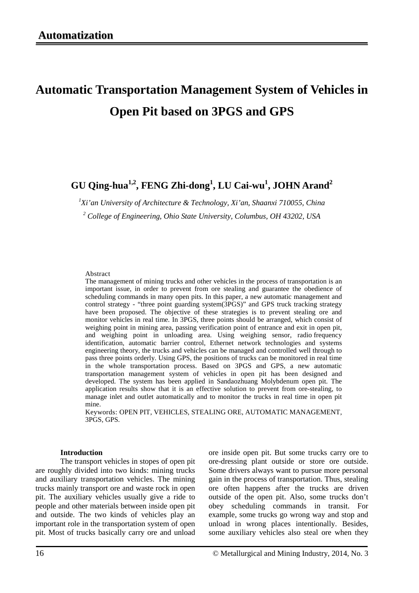# **Automatic Transportation Management System of Vehicles in Open Pit based on 3PGS and GPS**

# **GU Qing-hua1,2, FENG Zhi-dong1 , LU Cai-wu 1 , JOHN Arand2**

*1 Xi'an University of Architecture & Technology, Xi'an, Shaanxi 710055, China*

*<sup>2</sup> College of Engineering, Ohio State University, Columbus, OH 43202, USA*

#### Abstract

The management of mining trucks and other vehicles in the process of transportation is an important issue, in order to prevent from ore stealing and guarantee the obedience of scheduling commands in many open pits. In this paper, a new automatic management and control strategy - "three point guarding system(3PGS)" and GPS truck tracking strategy have been proposed. The objective of these strategies is to prevent stealing ore and monitor vehicles in real time. In 3PGS, three points should be arranged, which consist of weighing point in mining area, passing verification point of entrance and exit in open pit, and weighing point in unloading area. Using weighing sensor, radio frequency identification, automatic barrier control, Ethernet network technologies and systems engineering theory, the trucks and vehicles can be managed and controlled well through to pass three points orderly. Using GPS, the positions of trucks can be monitored in real time in the whole transportation process. Based on 3PGS and GPS, a new automatic transportation management system of vehicles in open pit has been designed and developed. The system has been applied in Sandaozhuang Molybdenum open pit. The application results show that it is an effective solution to prevent from ore-stealing, to manage inlet and outlet automatically and to monitor the trucks in real time in open pit mine.

Keywords: OPEN PIT, VEHICLES, STEALING ORE, AUTOMATIC MANAGEMENT, 3PGS, GPS.

## **Introduction**

The transport vehicles in stopes of open pit are roughly divided into two kinds: mining trucks and auxiliary transportation vehicles. The mining trucks mainly transport ore and waste rock in open pit. The auxiliary vehicles usually give a ride to people and other materials between inside open pit and outside. The two kinds of vehicles play an important role in the transportation system of open pit. Most of trucks basically carry ore and unload

ore inside open pit. But some trucks carry ore to ore-dressing plant outside or store ore outside. Some drivers always want to pursue more personal gain in the process of transportation. Thus, stealing ore often happens after the trucks are driven outside of the open pit. Also, some trucks don't obey scheduling commands in transit. For example, some trucks go wrong way and stop and unload in wrong places intentionally. Besides, some auxiliary vehicles also steal ore when they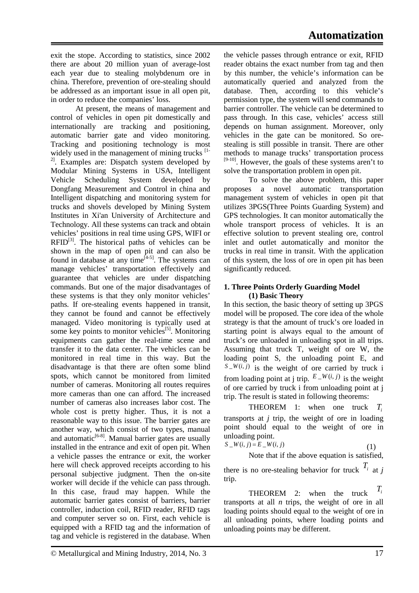exit the stope. According to statistics, since 2002 there are about 20 million yuan of average-lost each year due to stealing molybdenum ore in china. Therefore, prevention of ore-stealing should be addressed as an important issue in all open pit, in order to reduce the companies' loss.

At present, the means of management and control of vehicles in open pit domestically and internationally are tracking and positioning, automatic barrier gate and video monitoring. Tracking and positioning technology is most widely used in the management of mining trucks  $[1-$ <sup>2]</sup>. Examples are: Dispatch system developed by Modular Mining Systems in USA, Intelligent Vehicle Scheduling System developed by Dongfang Measurement and Control in china and Intelligent dispatching and monitoring system for trucks and shovels developed by Mining System Institutes in Xi'an University of Architecture and Technology. All these systems can track and obtain vehicles' positions in real time using GPS, WIFI or  $RFID^{[3]}$ . The historical paths of vehicles can be shown in the map of open pit and can also be found in database at any time<sup> $[4-5]$ </sup>. The systems can manage vehicles' transportation effectively and guarantee that vehicles are under dispatching commands. But one of the major disadvantages of these systems is that they only monitor vehicles' paths. If ore-stealing events happened in transit, they cannot be found and cannot be effectively managed. Video monitoring is typically used at some key points to monitor vehicles<sup>[5]</sup>. Monitoring equipments can gather the real-time scene and transfer it to the data center. The vehicles can be monitored in real time in this way. But the disadvantage is that there are often some blind spots, which cannot be monitored from limited number of cameras. Monitoring all routes requires more cameras than one can afford. The increased number of cameras also increases labor cost. The whole cost is pretty higher. Thus, it is not a reasonable way to this issue. The barrier gates are another way, which consist of two types, manual and automatic<sup>[6-8]</sup>. Manual barrier gates are usually installed in the entrance and exit of open pit. When a vehicle passes the entrance or exit, the worker here will check approved receipts according to his personal subjective judgment. Then the on-site worker will decide if the vehicle can pass through. In this case, fraud may happen. While the automatic barrier gates consist of barriers, barrier controller, induction coil, RFID reader, RFID tags and computer server so on. First, each vehicle is equipped with a RFID tag and the information of tag and vehicle is registered in the database. When the vehicle passes through entrance or exit, RFID reader obtains the exact number from tag and then by this number, the vehicle's information can be automatically queried and analyzed from the database. Then, according to this vehicle's permission type, the system will send commands to barrier controller. The vehicle can be determined to pass through. In this case, vehicles' access still depends on human assignment. Moreover, only vehicles in the gate can be monitored. So orestealing is still possible in transit. There are other methods to manage trucks' transportation process  $[9-10]$ . However, the goals of these systems aren't to solve the transportation problem in open pit.

To solve the above problem, this paper proposes a novel automatic transportation management system of vehicles in open pit that utilizes 3PGS(Three Points Guarding System) and GPS technologies. It can monitor automatically the whole transport process of vehicles. It is an effective solution to prevent stealing ore, control inlet and outlet automatically and monitor the trucks in real time in transit. With the application of this system, the loss of ore in open pit has been significantly reduced.

# **1. Three Points Orderly Guarding Model (1) Basic Theory**

In this section, the basic theory of setting up 3PGS model will be proposed. The core idea of the whole strategy is that the amount of truck's ore loaded in starting point is always equal to the amount of truck's ore unloaded in unloading spot in all trips. Assuming that truck T, weight of ore W, the loading point S, the unloading point E, and  $S_{-}W(i, j)$  is the weight of ore carried by truck i from loading point at *i* trip.  $E - W(i, j)$  is the weight of ore carried by truck i from unloading point at j trip. The result is stated in following theorems:

THEOREM 1: when one truck *Ti* transports at *j* trip, the weight of ore in loading point should equal to the weight of ore in unloading point.

$$
S_{-}W(i,j) = E_{-}W(i,j) \tag{1}
$$

Note that if the above equation is satisfied,

there is no ore-stealing behavior for truck  $T_i$  at *j* trip.

**THEOREM** 2: when the truck  $T_i$ transports at all *n* trips, the weight of ore in all loading points should equal to the weight of ore in all unloading points, where loading points and unloading points may be different.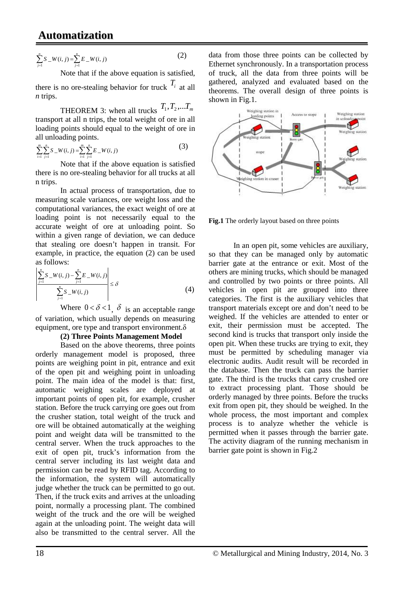# **Automatization**

$$
\sum_{j=1}^{n} S_{-}W(i,j) = \sum_{j=1}^{n} E_{-}W(i,j)
$$
 (2)

Note that if the above equation is satisfied,

there is no ore-stealing behavior for truck  $T_i$  at all *n* trips.

THEOREM 3: when all trucks  $T_1, T_2,...T_m$ transport at all n trips, the total weight of ore in all loading points should equal to the weight of ore in all unloading points.

$$
\sum_{i=1}^{m} \sum_{j=1}^{n} S_{-} W(i, j) = \sum_{i=1}^{m} \sum_{j=1}^{n} E_{-} W(i, j)
$$
 (3)

Note that if the above equation is satisfied there is no ore-stealing behavior for all trucks at all n trips.

In actual process of transportation, due to measuring scale variances, ore weight loss and the computational variances, the exact weight of ore at loading point is not necessarily equal to the accurate weight of ore at unloading point. So within a given range of deviation, we can deduce that stealing ore doesn't happen in transit. For example, in practice, the equation (2) can be used as follows:

$$
\left| \frac{\sum_{j=1}^{n} S_{-} W(i,j) - \sum_{j=1}^{n} E_{-} W(i,j)}{\sum_{j=1}^{n} S_{-} W(i,j)} \right| \le \delta
$$
\n(4)

Where  $0 < \delta < 1$ ,  $\delta$  is an acceptable range of variation, which usually depends on measuring equipment, ore type and transport environment.δ

# **(2) Three Points Management Model**

Based on the above theorems, three points orderly management model is proposed, three points are weighing point in pit, entrance and exit of the open pit and weighing point in unloading point. The main idea of the model is that: first, automatic weighing scales are deployed at important points of open pit, for example, crusher station. Before the truck carrying ore goes out from the crusher station, total weight of the truck and ore will be obtained automatically at the weighing point and weight data will be transmitted to the central server. When the truck approaches to the exit of open pit, truck's information from the central server including its last weight data and permission can be read by RFID tag. According to the information, the system will automatically judge whether the truck can be permitted to go out. Then, if the truck exits and arrives at the unloading point, normally a processing plant. The combined weight of the truck and the ore will be weighed again at the unloading point. The weight data will also be transmitted to the central server. All the

data from those three points can be collected by Ethernet synchronously. In a transportation process of truck, all the data from three points will be gathered, analyzed and evaluated based on the theorems. The overall design of three points is shown in Fig.1.



**Fig.1** The orderly layout based on three points

In an open pit, some vehicles are auxiliary, so that they can be managed only by automatic barrier gate at the entrance or exit. Most of the others are mining trucks, which should be managed and controlled by two points or three points. All vehicles in open pit are grouped into three categories. The first is the auxiliary vehicles that transport materials except ore and don't need to be weighed. If the vehicles are attended to enter or exit, their permission must be accepted. The second kind is trucks that transport only inside the open pit. When these trucks are trying to exit, they must be permitted by scheduling manager via electronic audits. Audit result will be recorded in the database. Then the truck can pass the barrier gate. The third is the trucks that carry crushed ore to extract processing plant. Those should be orderly managed by three points. Before the trucks exit from open pit, they should be weighed. In the whole process, the most important and complex process is to analyze whether the vehicle is permitted when it passes through the barrier gate. The activity diagram of the running mechanism in barrier gate point is shown in Fig.2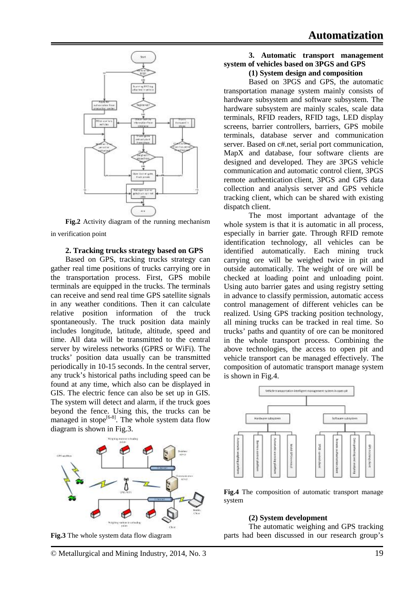

**Fig.2** Activity diagram of the running mechanism in verification point

#### **2. Tracking trucks strategy based on GPS**

Based on GPS, tracking trucks strategy can gather real time positions of trucks carrying ore in the transportation process. First, GPS mobile terminals are equipped in the trucks. The terminals can receive and send real time GPS satellite signals in any weather conditions. Then it can calculate relative position information of the truck spontaneously. The truck position data mainly includes longitude, latitude, altitude, speed and time. All data will be transmitted to the central server by wireless networks (GPRS or WiFi). The trucks' position data usually can be transmitted periodically in 10-15 seconds. In the central server, any truck's historical paths including speed can be found at any time, which also can be displayed in GIS. The electric fence can also be set up in GIS. The system will detect and alarm, if the truck goes beyond the fence. Using this, the trucks can be managed in stope $[6-8]$ . The whole system data flow diagram is shown in Fig.3.



**Fig.3** The whole system data flow diagram

#### **3. Automatic transport management system of vehicles based on 3PGS and GPS (1) System design and composition**

Based on 3PGS and GPS, the automatic transportation manage system mainly consists of hardware subsystem and software subsystem. The hardware subsystem are mainly scales, scale data terminals, RFID readers, RFID tags, LED display screens, barrier controllers, barriers, GPS mobile terminals, database server and communication server. Based on c#.net, serial port communication, MapX and database, four software clients are designed and developed. They are 3PGS vehicle communication and automatic control client, 3PGS remote authentication client, 3PGS and GPS data collection and analysis server and GPS vehicle tracking client, which can be shared with existing dispatch client.

The most important advantage of the whole system is that it is automatic in all process, especially in barrier gate. Through RFID remote identification technology, all vehicles can be identified automatically. Each mining truck carrying ore will be weighed twice in pit and outside automatically. The weight of ore will be checked at loading point and unloading point. Using auto barrier gates and using registry setting in advance to classify permission, automatic access control management of different vehicles can be realized. Using GPS tracking position technology, all mining trucks can be tracked in real time. So trucks' paths and quantity of ore can be monitored in the whole transport process. Combining the above technologies, the access to open pit and vehicle transport can be managed effectively. The composition of automatic transport manage system is shown in Fig.4.



**Fig.4** The composition of automatic transport manage system

### **(2) System development**

The automatic weighing and GPS tracking parts had been discussed in our research group's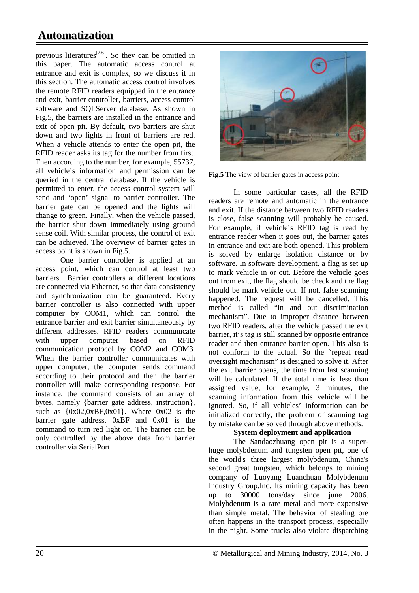# **Automatization**

previous literatures<sup>[2,6]</sup>. So they can be omitted in this paper. The automatic access control at entrance and exit is complex, so we discuss it in this section. The automatic access control involves the remote RFID readers equipped in the entrance and exit, barrier controller, barriers, access control software and SQLServer database. As shown in Fig.5, the barriers are installed in the entrance and exit of open pit. By default, two barriers are shut down and two lights in front of barriers are red. When a vehicle attends to enter the open pit, the RFID reader asks its tag for the number from first. Then according to the number, for example, 55737, all vehicle's information and permission can be queried in the central database. If the vehicle is permitted to enter, the access control system will send and 'open' signal to barrier controller. The barrier gate can be opened and the lights will change to green. Finally, when the vehicle passed, the barrier shut down immediately using ground sense coil. With similar process, the control of exit can be achieved. The overview of barrier gates in access point is shown in Fig.5.

One barrier controller is applied at an access point, which can control at least two barriers. Barrier controllers at different locations are connected via Ethernet, so that data consistency and synchronization can be guaranteed. Every barrier controller is also connected with upper computer by COM1, which can control the entrance barrier and exit barrier simultaneously by different addresses. RFID readers communicate with upper computer based on RFID communication protocol by COM2 and COM3. When the barrier controller communicates with upper computer, the computer sends command according to their protocol and then the barrier controller will make corresponding response. For instance, the command consists of an array of bytes, namely {barrier gate address, instruction}, such as  ${0x02,0xBF,0x01}$ . Where  $0x02$  is the barrier gate address, 0xBF and 0x01 is the command to turn red light on. The barrier can be only controlled by the above data from barrier controller via SerialPort.



**Fig.5** The view of barrier gates in access point

In some particular cases, all the RFID readers are remote and automatic in the entrance and exit. If the distance between two RFID readers is close, false scanning will probably be caused. For example, if vehicle's RFID tag is read by entrance reader when it goes out, the barrier gates in entrance and exit are both opened. This problem is solved by enlarge isolation distance or by software. In software development, a flag is set up to mark vehicle in or out. Before the vehicle goes out from exit, the flag should be check and the flag should be mark vehicle out. If not, false scanning happened. The request will be cancelled. This method is called "in and out discrimination mechanism". Due to improper distance between two RFID readers, after the vehicle passed the exit barrier, it's tag is still scanned by opposite entrance reader and then entrance barrier open. This also is not conform to the actual. So the "repeat read oversight mechanism" is designed to solve it. After the exit barrier opens, the time from last scanning will be calculated. If the total time is less than assigned value, for example, 3 minutes, the scanning information from this vehicle will be ignored. So, if all vehicles' information can be initialized correctly, the problem of scanning tag by mistake can be solved through above methods.

# **System deployment and application**

The Sandaozhuang open pit is a superhuge molybdenum and tungsten open pit, one of the world's three largest molybdenum, China's second great tungsten, which belongs to mining company of Luoyang Luanchuan Molybdenum Industry Group.Inc. Its mining capacity has been up to 30000 tons/day since june 2006. Molybdenum is a rare metal and more expensive than simple metal. The behavior of stealing ore often happens in the transport process, especially in the night. Some trucks also violate dispatching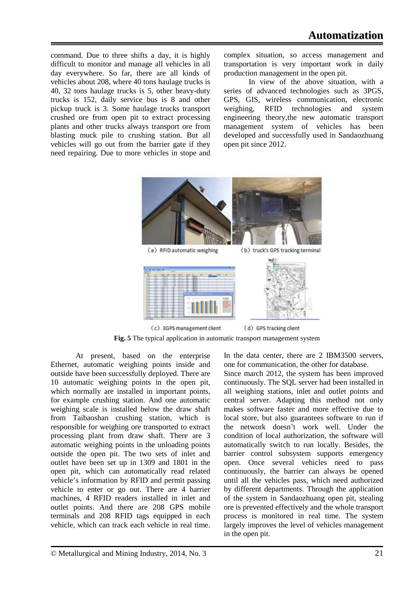command. Due to three shifts a day, it is highly difficult to monitor and manage all vehicles in all day everywhere. So far, there are all kinds of vehicles about 208, where 40 tons haulage trucks is 40, 32 tons haulage trucks is 5, other heavy-duty trucks is 152, daily service bus is 8 and other pickup truck is 3. Some haulage trucks transport crushed ore from open pit to extract processing plants and other trucks always transport ore from blasting muck pile to crushing station. But all vehicles will go out from the barrier gate if they need repairing. Due to more vehicles in stope and complex situation, so access management and transportation is very important work in daily production management in the open pit.

In view of the above situation, with a series of advanced technologies such as 3PGS, GPS, GIS, wireless communication, electronic weighing, RFID technologies and system engineering theory,the new automatic transport management system of vehicles has been developed and successfully used in Sandaozhuang open pit since 2012.



**Fig. 5** The typical application in automatic transport management system

At present, based on the enterprise Ethernet, automatic weighing points inside and outside have been successfully deployed. There are 10 automatic weighing points in the open pit, which normally are installed in important points, for example crushing station. And one automatic weighing scale is installed below the draw shaft from Taibaoshan crushing station, which is responsible for weighing ore transported to extract processing plant from draw shaft. There are 3 automatic weighing points in the unloading points outside the open pit. The two sets of inlet and outlet have been set up in 1309 and 1801 in the open pit, which can automatically read related vehicle's information by RFID and permit passing vehicle to enter or go out. There are 4 barrier machines, 4 RFID readers installed in inlet and outlet points. And there are 208 GPS mobile terminals and 208 RFID tags equipped in each vehicle, which can track each vehicle in real time.

In the data center, there are 2 IBM3500 servers, one for communication, the other for database.

Since march 2012, the system has been improved continuously. The SQL server had been installed in all weighing stations, inlet and outlet points and central server. Adapting this method not only makes software faster and more effective due to local store, but also guarantees software to run if the network doesn't work well. Under the condition of local authorization, the software will automatically switch to run locally. Besides, the barrier control subsystem supports emergency open. Once several vehicles need to pass continuously, the barrier can always be opened until all the vehicles pass, which need authorized by different departments. Through the application of the system in Sandaozhuang open pit, stealing ore is prevented effectively and the whole transport process is monitored in real time. The system largely improves the level of vehicles management in the open pit.